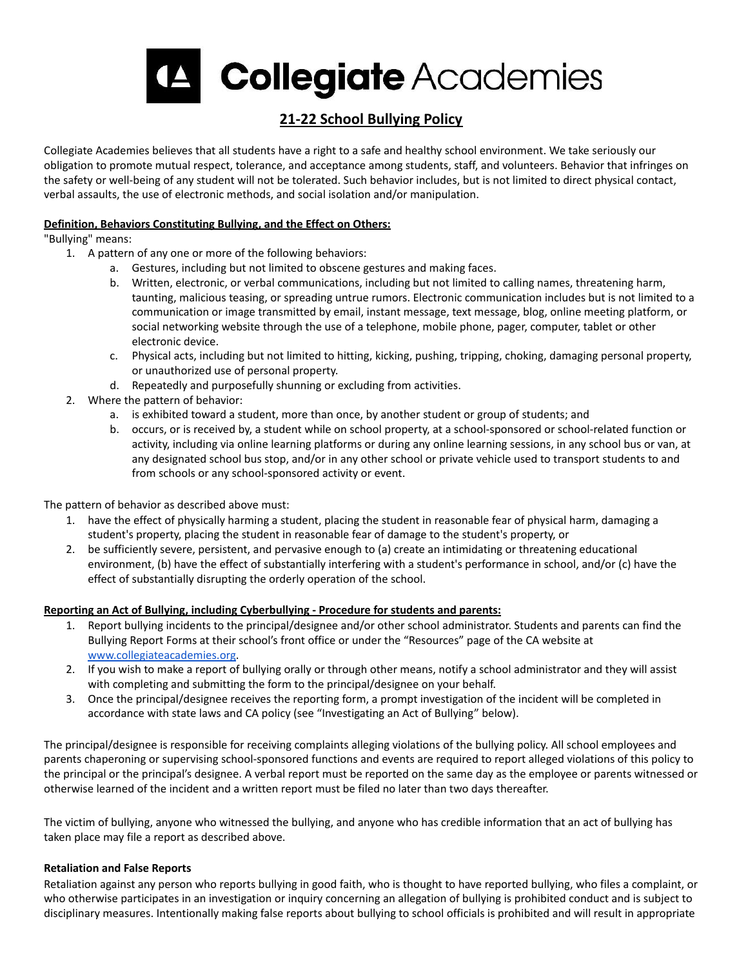

# **21-22 School Bullying Policy**

Collegiate Academies believes that all students have a right to a safe and healthy school environment. We take seriously our obligation to promote mutual respect, tolerance, and acceptance among students, staff, and volunteers. Behavior that infringes on the safety or well-being of any student will not be tolerated. Such behavior includes, but is not limited to direct physical contact, verbal assaults, the use of electronic methods, and social isolation and/or manipulation.

## **Definition, Behaviors Constituting Bullying, and the Effect on Others:**

# "Bullying" means:

- 1. A pattern of any one or more of the following behaviors:
	- a. Gestures, including but not limited to obscene gestures and making faces.
	- b. Written, electronic, or verbal communications, including but not limited to calling names, threatening harm, taunting, malicious teasing, or spreading untrue rumors. Electronic communication includes but is not limited to a communication or image transmitted by email, instant message, text message, blog, online meeting platform, or social networking website through the use of a telephone, mobile phone, pager, computer, tablet or other electronic device.
	- c. Physical acts, including but not limited to hitting, kicking, pushing, tripping, choking, damaging personal property, or unauthorized use of personal property.
	- d. Repeatedly and purposefully shunning or excluding from activities.
- 2. Where the pattern of behavior:
	- a. is exhibited toward a student, more than once, by another student or group of students; and
	- b. occurs, or is received by, a student while on school property, at a school-sponsored or school-related function or activity, including via online learning platforms or during any online learning sessions, in any school bus or van, at any designated school bus stop, and/or in any other school or private vehicle used to transport students to and from schools or any school-sponsored activity or event.

The pattern of behavior as described above must:

- 1. have the effect of physically harming a student, placing the student in reasonable fear of physical harm, damaging a student's property, placing the student in reasonable fear of damage to the student's property, or
- 2. be sufficiently severe, persistent, and pervasive enough to (a) create an intimidating or threatening educational environment, (b) have the effect of substantially interfering with a student's performance in school, and/or (c) have the effect of substantially disrupting the orderly operation of the school.

# **Reporting an Act of Bullying, including Cyberbullying - Procedure for students and parents:**

- 1. Report bullying incidents to the principal/designee and/or other school administrator. Students and parents can find the Bullying Report Forms at their school's front office or under the "Resources" page of the CA website at [www.collegiateacademies.org](http://collegiateacademies.org/page/180/important-resources).
- 2. If you wish to make a report of bullying orally or through other means, notify a school administrator and they will assist with completing and submitting the form to the principal/designee on your behalf.
- 3. Once the principal/designee receives the reporting form, a prompt investigation of the incident will be completed in accordance with state laws and CA policy (see "Investigating an Act of Bullying" below).

The principal/designee is responsible for receiving complaints alleging violations of the bullying policy. All school employees and parents chaperoning or supervising school-sponsored functions and events are required to report alleged violations of this policy to the principal or the principal's designee. A verbal report must be reported on the same day as the employee or parents witnessed or otherwise learned of the incident and a written report must be filed no later than two days thereafter.

The victim of bullying, anyone who witnessed the bullying, and anyone who has credible information that an act of bullying has taken place may file a report as described above.

## **Retaliation and False Reports**

Retaliation against any person who reports bullying in good faith, who is thought to have reported bullying, who files a complaint, or who otherwise participates in an investigation or inquiry concerning an allegation of bullying is prohibited conduct and is subject to disciplinary measures. Intentionally making false reports about bullying to school officials is prohibited and will result in appropriate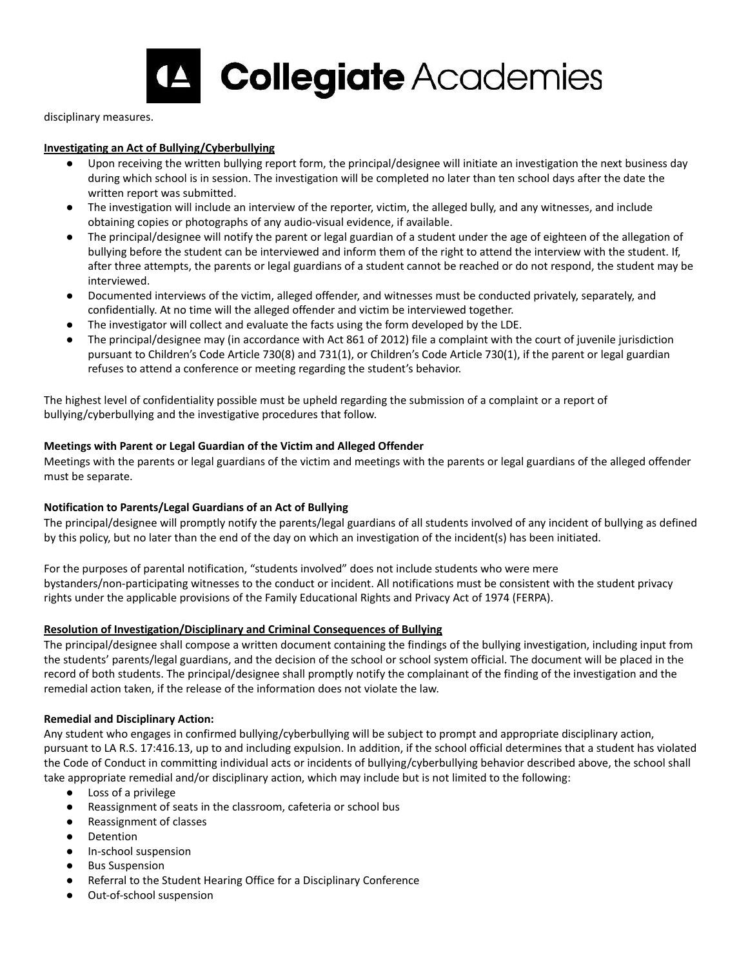

disciplinary measures.

#### **Investigating an Act of Bullying/Cyberbullying**

- Upon receiving the written bullying report form, the principal/designee will initiate an investigation the next business day during which school is in session. The investigation will be completed no later than ten school days after the date the written report was submitted.
- The investigation will include an interview of the reporter, victim, the alleged bully, and any witnesses, and include obtaining copies or photographs of any audio-visual evidence, if available.
- The principal/designee will notify the parent or legal guardian of a student under the age of eighteen of the allegation of bullying before the student can be interviewed and inform them of the right to attend the interview with the student. If, after three attempts, the parents or legal guardians of a student cannot be reached or do not respond, the student may be interviewed.
- Documented interviews of the victim, alleged offender, and witnesses must be conducted privately, separately, and confidentially. At no time will the alleged offender and victim be interviewed together.
- The investigator will collect and evaluate the facts using the form developed by the LDE.
- The principal/designee may (in accordance with Act 861 of 2012) file a complaint with the court of juvenile jurisdiction pursuant to Children's Code Article 730(8) and 731(1), or Children's Code Article 730(1), if the parent or legal guardian refuses to attend a conference or meeting regarding the student's behavior.

The highest level of confidentiality possible must be upheld regarding the submission of a complaint or a report of bullying/cyberbullying and the investigative procedures that follow.

## **Meetings with Parent or Legal Guardian of the Victim and Alleged Offender**

Meetings with the parents or legal guardians of the victim and meetings with the parents or legal guardians of the alleged offender must be separate.

# **Notification to Parents/Legal Guardians of an Act of Bullying**

The principal/designee will promptly notify the parents/legal guardians of all students involved of any incident of bullying as defined by this policy, but no later than the end of the day on which an investigation of the incident(s) has been initiated.

For the purposes of parental notification, "students involved" does not include students who were mere bystanders/non-participating witnesses to the conduct or incident. All notifications must be consistent with the student privacy rights under the applicable provisions of the Family Educational Rights and Privacy Act of 1974 (FERPA).

#### **Resolution of Investigation/Disciplinary and Criminal Consequences of Bullying**

The principal/designee shall compose a written document containing the findings of the bullying investigation, including input from the students' parents/legal guardians, and the decision of the school or school system official. The document will be placed in the record of both students. The principal/designee shall promptly notify the complainant of the finding of the investigation and the remedial action taken, if the release of the information does not violate the law.

## **Remedial and Disciplinary Action:**

Any student who engages in confirmed bullying/cyberbullying will be subject to prompt and appropriate disciplinary action, pursuant to LA R.S. 17:416.13, up to and including expulsion. In addition, if the school official determines that a student has violated the Code of Conduct in committing individual acts or incidents of bullying/cyberbullying behavior described above, the school shall take appropriate remedial and/or disciplinary action, which may include but is not limited to the following:

- Loss of a privilege
- Reassignment of seats in the classroom, cafeteria or school bus
- Reassignment of classes
- **Detention**
- In-school suspension
- **Bus Suspension**
- Referral to the Student Hearing Office for a Disciplinary Conference
- Out-of-school suspension